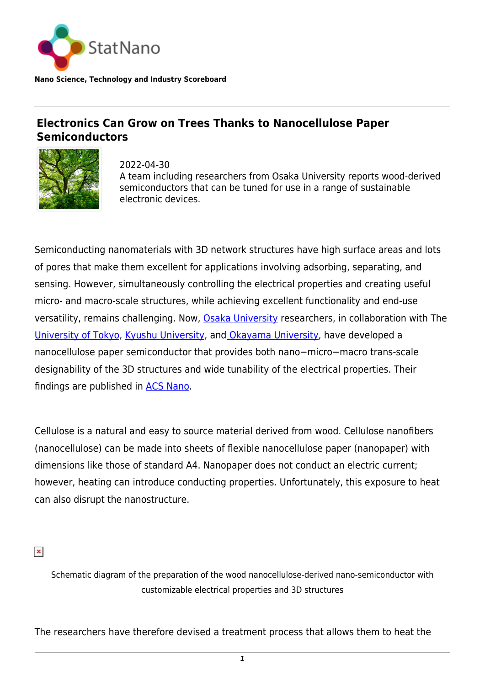

**Nano Science, Technology and Industry Scoreboard**

## **Electronics Can Grow on Trees Thanks to Nanocellulose Paper Semiconductors**



2022-04-30 A team including researchers from Osaka University reports wood-derived semiconductors that can be tuned for use in a range of sustainable electronic devices.

Semiconducting nanomaterials with 3D network structures have high surface areas and lots of pores that make them excellent for applications involving adsorbing, separating, and sensing. However, simultaneously controlling the electrical properties and creating useful micro- and macro-scale structures, while achieving excellent functionality and end-use versatility, remains challenging. Now, [Osaka University](https://statnano.com/org/Osaka-University) researchers, in collaboration with The [University of Tokyo,](https://statnano.com/org/University-of-Tokyo) [Kyushu University](https://statnano.com/org/Kyushu-University), an[d Okayama University](http://www.okayama-u.ac.jp/index_e.html), have developed a nanocellulose paper semiconductor that provides both nano−micro−macro trans-scale designability of the 3D structures and wide tunability of the electrical properties. Their findings are published in [ACS Nano](https://pubs.acs.org/doi/abs/10.1021/acsnano.1c10728).

Cellulose is a natural and easy to source material derived from wood. Cellulose nanofibers (nanocellulose) can be made into sheets of flexible nanocellulose paper (nanopaper) with dimensions like those of standard A4. Nanopaper does not conduct an electric current; however, heating can introduce conducting properties. Unfortunately, this exposure to heat can also disrupt the nanostructure.

 $\pmb{\times}$ 

Schematic diagram of the preparation of the wood nanocellulose-derived nano-semiconductor with customizable electrical properties and 3D structures

The researchers have therefore devised a treatment process that allows them to heat the